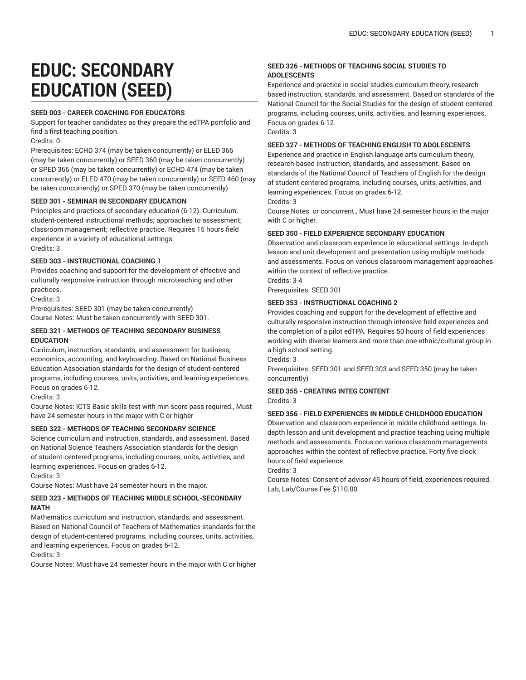# **EDUC: SECONDARY EDUCATION (SEED)**

## **SEED 003 - CAREER COACHING FOR EDUCATORS**

Support for teacher candidates as they prepare the edTPA portfolio and find a first teaching position.

Credits: 0

Prerequisites: ECHD 374 (may be taken concurrently) or ELED 366 (may be taken concurrently) or SEED 360 (may be taken concurrently) or SPED 366 (may be taken concurrently) or ECHD 474 (may be taken concurrently) or ELED 470 (may be taken concurrently) or SEED 460 (may be taken concurrently) or SPED 370 (may be taken concurrently)

#### **SEED 301 - SEMINAR IN SECONDARY EDUCATION**

Principles and practices of secondary education (6-12). Curriculum, student-centered instructional methods; approaches to assessment; classroom management; reflective practice. Requires 15 hours field experience in a variety of educational settings. Credits: 3

#### **SEED 303 - INSTRUCTIONAL COACHING 1**

Provides coaching and support for the development of effective and culturally responsive instruction through microteaching and other practices.

Credits: 3

Prerequisites: SEED 301 (may be taken concurrently) Course Notes: Must be taken concurrently with SEED 301.

### **SEED 321 - METHODS OF TEACHING SECONDARY BUSINESS EDUCATION**

Curriculum, instruction, standards, and assessment for business, economics, accounting, and keyboarding. Based on National Business Education Association standards for the design of student-centered programs, including courses, units, activities, and learning experiences. Focus on grades 6-12.

Credits: 3

Course Notes: ICTS Basic skills test with min score pass required., Must have 24 semester hours in the major with C or higher

# **SEED 322 - METHODS OF TEACHING SECONDARY SCIENCE**

Science curriculum and instruction, standards, and assessment. Based on National Science Teachers Association standards for the design of student-centered programs, including courses, units, activities, and learning experiences. Focus on grades 6-12.

Credits: 3

Course Notes: Must have 24 semester hours in the major.

# **SEED 323 - METHODS OF TEACHING MIDDLE SCHOOL-SECONDARY MATH**

Mathematics curriculum and instruction, standards, and assessment. Based on National Council of Teachers of Mathematics standards for the design of student-centered programs, including courses, units, activities, and learning experiences. Focus on grades 6-12.

Credits: 3

Course Notes: Must have 24 semester hours in the major with C or higher

# **SEED 326 - METHODS OF TEACHING SOCIAL STUDIES TO ADOLESCENTS**

Experience and practice in social studies curriculum theory, researchbased instruction, standards, and assessment. Based on standards of the National Council for the Social Studies for the design of student-centered programs, including courses, units, activities, and learning experiences. Focus on grades 6-12.

Credits: 3

#### **SEED 327 - METHODS OF TEACHING ENGLISH TO ADOLESCENTS**

Experience and practice in English language arts curriculum theory, research-based instruction, standards, and assessment. Based on standards of the National Council of Teachers of English for the design of student-centered programs, including courses, units, activities, and learning experiences. Focus on grades 6-12.

Credits: 3

Course Notes: or concurrent., Must have 24 semester hours in the major with C or higher.

#### **SEED 350 - FIELD EXPERIENCE SECONDARY EDUCATION**

Observation and classroom experience in educational settings. In-depth lesson and unit development and presentation using multiple methods and assessments. Focus on various classroom management approaches within the context of reflective practice.

Credits: 3-4 Prerequisites: SEED 301

# **SEED 353 - INSTRUCTIONAL COACHING 2**

Provides coaching and support for the development of effective and culturally responsive instruction through intensive field experiences and the completion of a pilot edTPA. Requires 50 hours of field experiences working with diverse learners and more than one ethnic/cultural group in a high school setting.

Credits: 3

Prerequisites: SEED 301 and SEED 303 and SEED 350 (may be taken concurrently)

# **SEED 355 - CREATING INTEG CONTENT**

Credits: 3

# **SEED 356 - FIELD EXPERIENCES IN MIDDLE CHILDHOOD EDUCATION**

Observation and classroom experience in middle childhood settings. Indepth lesson and unit development and practice teaching using multiple methods and assessments. Focus on various classroom managements approaches within the context of reflective practice. Forty five clock hours of field experience.

Credits: 3

Course Notes: Consent of advisor 45 hours of field, experiences required. Lab, Lab/Course Fee \$110.00